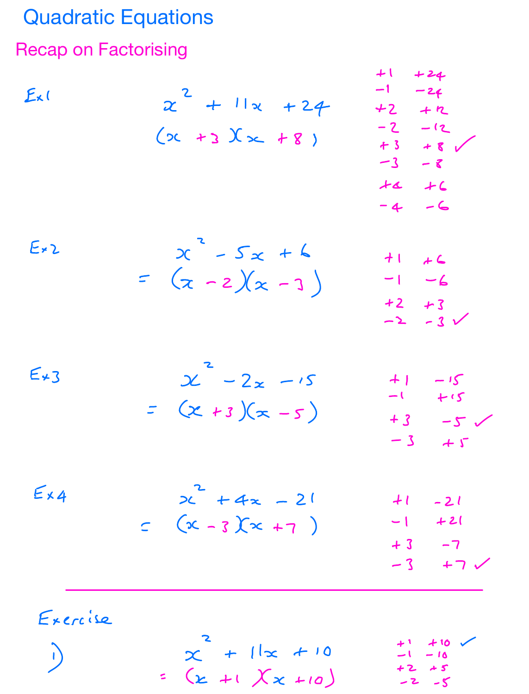## **Quadratic Equations Recap on Factorising**

 $\mathbf{I}$ 

Ex1

\n
$$
2x + 11x + 24 + 12x + 12x + 24
$$
\n
$$
2x + 11x + 24 + 22 + 22 + 22
$$
\n
$$
2x + 21x + 8
$$
\n
$$
3x + 8
$$
\n
$$
4x + 2
$$
\n
$$
-3x + 6
$$
\n
$$
-4x + 2
$$
\n
$$
-4x + 2
$$
\n
$$
-4x + 2
$$
\n
$$
-4x + 2
$$
\n
$$
-4x + 2
$$
\n
$$
-4x + 2
$$
\n
$$
-4x + 2
$$
\n
$$
-4x + 2
$$
\n
$$
-4x + 2
$$
\n
$$
-4x + 2
$$
\n
$$
-4x + 2
$$
\n
$$
-4x + 2
$$
\n
$$
-4x + 2
$$
\n
$$
-4x + 2
$$
\n
$$
-4x + 2
$$
\n
$$
-2x + 3
$$
\n
$$
-2x + 3
$$
\n
$$
-3x + 7
$$
\n
$$
-3x + 7
$$
\n
$$
-3x + 7
$$
\nExercise 2.11.11

 $x^2 + 1 |x + 10$ <br>=  $(x + 1) \times x + 10$  $-10$  $+2 + 5$  $-2 - 5$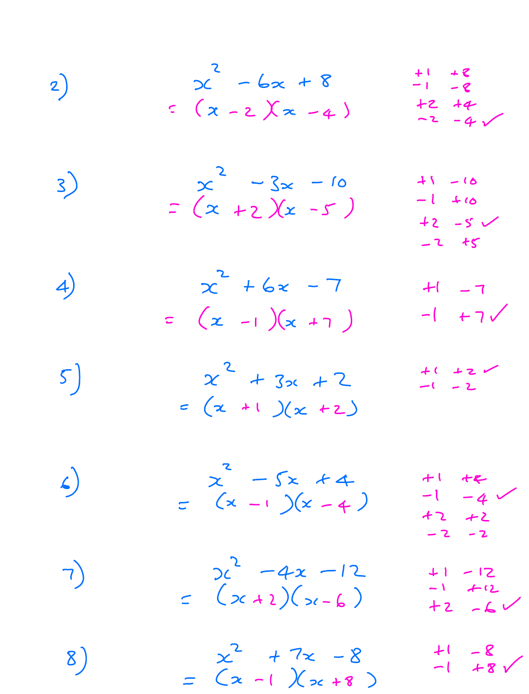2) 
$$
x^2 - 6x + 8
$$
  $+1 + 2$   
 $\therefore (x - 2)(x - 4)$   $+2 + 4$   
 $-2 - 4$ 

3) 
$$
\begin{array}{r} x^2 - 3x - 10 & 41 - 16 \\ x - (x + 2)(x - 5) & -1 + 16 \\ x - 2 + 5 \end{array}
$$

4) 
$$
x^2 + 6x - 7
$$
  $+1 - 7$   
=  $(x - 1)(x + 7)$   $-1 + 7$ 

$$
\begin{array}{ccc}\n5 & x^2 + 3x + 2 & +2 & -2 \\
& (x + 1)(x + 2) & & & \\
\end{array}
$$

\n (a) 
$$
\begin{aligned}\n &\begin{bmatrix}\n 2 & -5x + 4 \\
 (x - 1)(x - 4) & -1 - 4 \\
 42 + 2 & -2\n \end{bmatrix} \\
 &\begin{bmatrix}\n 2 & -4x - 12 \\
 (x + 1)(x - 6) & -1 + 12 \\
 2 & -2 & -2\n \end{bmatrix}\n \end{aligned}
$$
\n

\n\n (b)  $\begin{aligned}\n &\begin{bmatrix}\n 2 & -4x - 12 \\
 (x + 1)(x - 6) & -1 + 12 \\
 42 - 6\n \end{bmatrix} \\
 &\begin{bmatrix}\n 2 & 47x - 8 \\
 1 & -6\n \end{bmatrix} \\
 &\begin{bmatrix}\n 41 & -8 \\
 -1 & 48\n \end{bmatrix}\n \end{aligned}$ \n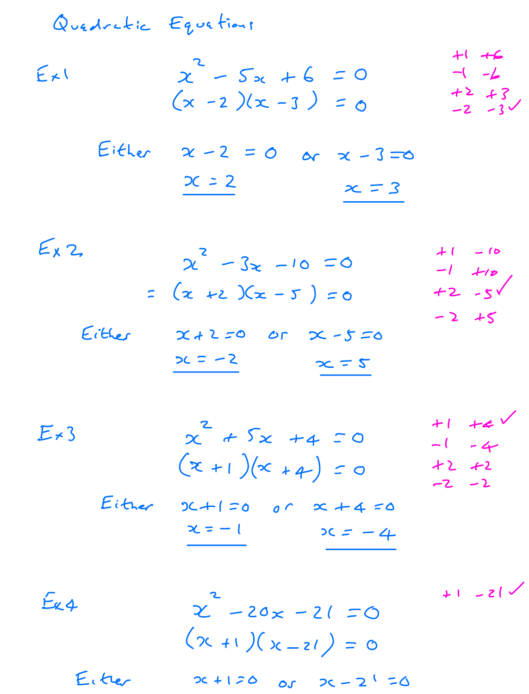| Quedratic Equations |                                                               |                                                 |
|---------------------|---------------------------------------------------------------|-------------------------------------------------|
| Ex1                 | $x^2 - 5x + 6 = 0$<br>$(x - 2)(x - 3) = 0$                    | $+1$ +6<br>$-(-2)$<br>$+2 + 3$<br>$-2 - 3$      |
| Either              | $x - 2 = 0$<br>$2 - 3 = 0$<br>$x = 2$<br>$x = 3$              |                                                 |
| $E_{X}$ 2           | $x^2 - 3x - 10 = 0$<br>$=$ $(x +2)(x - 5) = 0$                | $+1 - 10$<br>$-1$ $+10$<br>$+2 - 5$<br>$-2 + 5$ |
| Either              | 24250<br>$\mathcal{O}$<br>$x - 5 = 0$<br>$2c = -2$<br>$x = 2$ |                                                 |

| $E \star 3$ | $x^2 + 5x + 4 = 0$<br>$(x + 1)(x + 4) = 0$ |                             | $+1$ $+4$<br>$-1 - 4$<br>$+2 +2$<br>$-2 - 2$ |
|-------------|--------------------------------------------|-----------------------------|----------------------------------------------|
|             | Eitner                                     | $3C + 1 = 0$ or $x + 4 = 0$ |                                              |
|             |                                            | $x = -1$<br>$2C = -4$       |                                              |

 $212 - 14$ Ex4  $x^2 - 20x - 21 = 0$  $(x + 1)(x - 21) = 0$ Eitrer  $2c + 120$  $0s$   $2c - 2i = 0$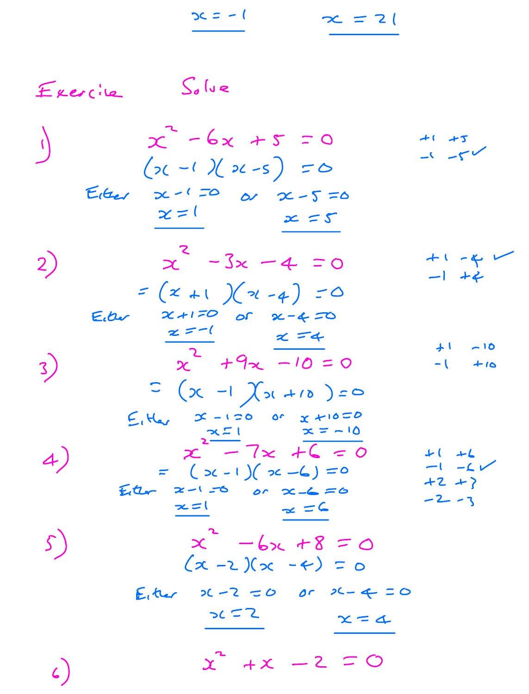|                        | $2c = -1$                                                                                                                                                       | $x = 2$ |                                                 |
|------------------------|-----------------------------------------------------------------------------------------------------------------------------------------------------------------|---------|-------------------------------------------------|
| Exercile               | $So$ lue                                                                                                                                                        |         |                                                 |
| $\langle \phi \rangle$ | $x^{\sim}$ -6x +5 = 0<br>$(x-1)(x-5) = 0$                                                                                                                       |         | $+1 + 5$                                        |
|                        | Eiter $x=(\begin{array}{ccc} -\frac{1}{2} & \frac{1}{2} & \frac{1}{2} \\ \frac{1}{2} & \frac{1}{2} & \frac{1}{2} & \frac{1}{2} \end{array})$<br>$x = 1$ $x = 5$ |         |                                                 |
| 2)                     | $x^2 - 3x - 4 = 0$<br>$= (x + 1)(x - 4) = 0$                                                                                                                    |         | $+1 - 4$<br>$-1 + 2$                            |
| Eiber<br>3)            | $x + 170$ or $x - 470$<br>$x = -1$ $x = 4$<br>$x^2$ +9x -10 = 0                                                                                                 |         | ナ1 ~10<br>$-1$ $+10$                            |
|                        | $C$ $(x - 1)$ $(x + 10) = 0$<br>$E_1H_{21}$ $x - 120$ or $x + 1000$<br>$x^{\frac{x-1}{2}} - 7x + 6 = 0$                                                         |         |                                                 |
| 4)                     | $=$ $($ $>$ $(-1)$ $($ $>$ $<$ $ ($ $)$ $=$ $0$<br>$E_{t}t_{r}$ $x-1=0$ or $x-6=0$<br>$\alpha = 6$<br>$x = 1$                                                   |         | $+$ $+$<br>$-1 - 6$<br>$+2$ $+$ $>$<br>$-2 - 3$ |
| $\mathcal{S}\,\big)$   | $x^{2} - 6x + 8 = 0$<br>$(x - 2)(x - 4) = 0$                                                                                                                    |         |                                                 |
|                        | E, ther $2C - 2 = 0$ or $2C - 4 = 0$<br>562                                                                                                                     | $x = 4$ |                                                 |
| $\zeta$                | $x^2 + x - 2 = 0$                                                                                                                                               |         |                                                 |